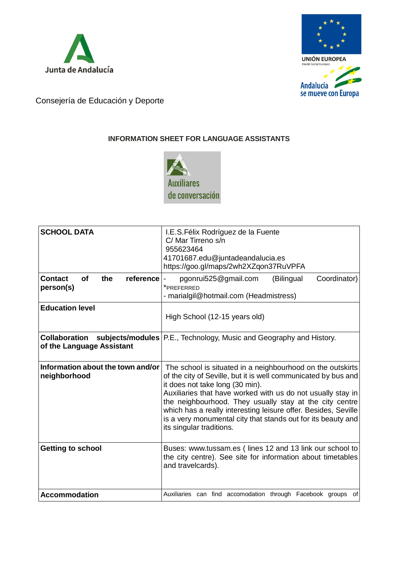



Consejería de Educación y Deporte

## **INFORMATION SHEET FOR LANGUAGE ASSISTANTS**



| <b>SCHOOL DATA</b>                                    | I.E.S. Félix Rodríguez de la Fuente<br>C/ Mar Tirreno s/n<br>955623464<br>41701687.edu@juntadeandalucia.es<br>https://goo.gl/maps/2wh2XZqon37RuVPFA                                                                                                                                                                                                                                                                                                     |
|-------------------------------------------------------|---------------------------------------------------------------------------------------------------------------------------------------------------------------------------------------------------------------------------------------------------------------------------------------------------------------------------------------------------------------------------------------------------------------------------------------------------------|
| reference<br><b>Contact</b><br>Οf<br>the<br>person(s) | pgonrui525@gmail.com<br>(Bilingual<br>Coordinator)<br>*PREFERRED<br>- marialgil@hotmail.com (Headmistress)                                                                                                                                                                                                                                                                                                                                              |
| <b>Education level</b>                                | High School (12-15 years old)                                                                                                                                                                                                                                                                                                                                                                                                                           |
| of the Language Assistant                             | <b>Collaboration</b> subjects/modules   P.E., Technology, Music and Geography and History.                                                                                                                                                                                                                                                                                                                                                              |
| Information about the town and/or<br>neighborhood     | The school is situated in a neighbourhood on the outskirts<br>of the city of Seville, but it is well communicated by bus and<br>it does not take long (30 min).<br>Auxiliaries that have worked with us do not usually stay in<br>the neighbourhood. They usually stay at the city centre<br>which has a really interesting leisure offer. Besides, Seville<br>is a very monumental city that stands out for its beauty and<br>its singular traditions. |
| <b>Getting to school</b>                              | Buses: www.tussam.es (lines 12 and 13 link our school to<br>the city centre). See site for information about timetables<br>and travelcards).                                                                                                                                                                                                                                                                                                            |
| <b>Accommodation</b>                                  | Auxiliaries can find accomodation through Facebook groups of                                                                                                                                                                                                                                                                                                                                                                                            |